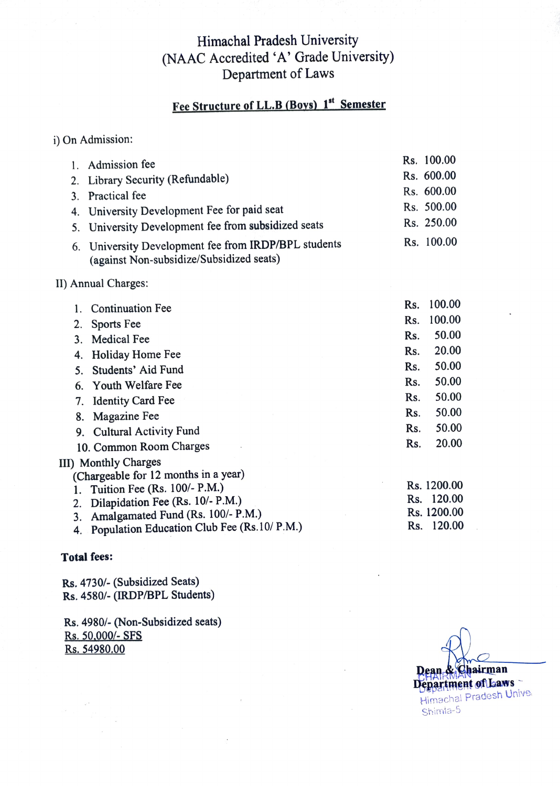## Himachal Pradesh University (NAAC Accredited 'A' Grade University) Department of Laws

# Fee Structure of LL.B (Boys) 1st Semester

| i) On Admission: |  |  |
|------------------|--|--|

|                | Admission fee                                                                                 |     | Rs. 100.00  |
|----------------|-----------------------------------------------------------------------------------------------|-----|-------------|
| 2.             | Library Security (Refundable)                                                                 |     | Rs. 600.00  |
| $\mathbf{3}$ . | Practical fee                                                                                 |     | Rs. 600.00  |
| 4.             | University Development Fee for paid seat                                                      |     | Rs. 500.00  |
| 5.             | University Development fee from subsidized seats                                              |     | Rs. 250.00  |
| 6.             | University Development fee from IRDP/BPL students<br>(against Non-subsidize/Subsidized seats) |     | Rs. 100.00  |
|                | II) Annual Charges:                                                                           |     |             |
| 1.             | <b>Continuation Fee</b>                                                                       | Rs. | 100.00      |
| 2.             | Sports Fee                                                                                    | Rs. | 100.00      |
| 3.             | <b>Medical Fee</b>                                                                            | Rs. | 50.00       |
| 4.             | Holiday Home Fee                                                                              | Rs. | 20.00       |
| 5.             | Students' Aid Fund                                                                            | Rs. | 50.00       |
| 6.             | Youth Welfare Fee                                                                             | Rs. | 50.00       |
| 7.             | <b>Identity Card Fee</b>                                                                      | Rs. | 50.00       |
| 8.             | Magazine Fee                                                                                  | Rs. | 50.00       |
| 9.             | <b>Cultural Activity Fund</b>                                                                 | Rs. | 50.00       |
|                | 10. Common Room Charges                                                                       | Rs. | 20.00       |
|                | III) Monthly Charges                                                                          |     |             |
|                | (Chargeable for 12 months in a year)                                                          |     |             |
| 1.             | Tuition Fee (Rs. 100/- P.M.)                                                                  |     | Rs. 1200.00 |
| 2.             | Dilapidation Fee (Rs. 10/- P.M.)                                                              |     | Rs. 120.00  |
| 3.             | Amalgamated Fund (Rs. 100/- P.M.)                                                             |     | Rs. 1200.00 |
| 4.             | Population Education Club Fee (Rs.10/ P.M.)                                                   |     | Rs. 120.00  |
|                |                                                                                               |     |             |

#### Total fees:

 $\sim$ 

Rs. 4730/-(Subsidized Seats) Rs. 4580/- (IRDP/BPL Students)

Rs. 4980/-(Non-Subsidized seats) Rs. 50,000/- SFS Rs. 54980.00

Dean & Chairman Department of Laws Himachal Pradesh Unive Shimia-5